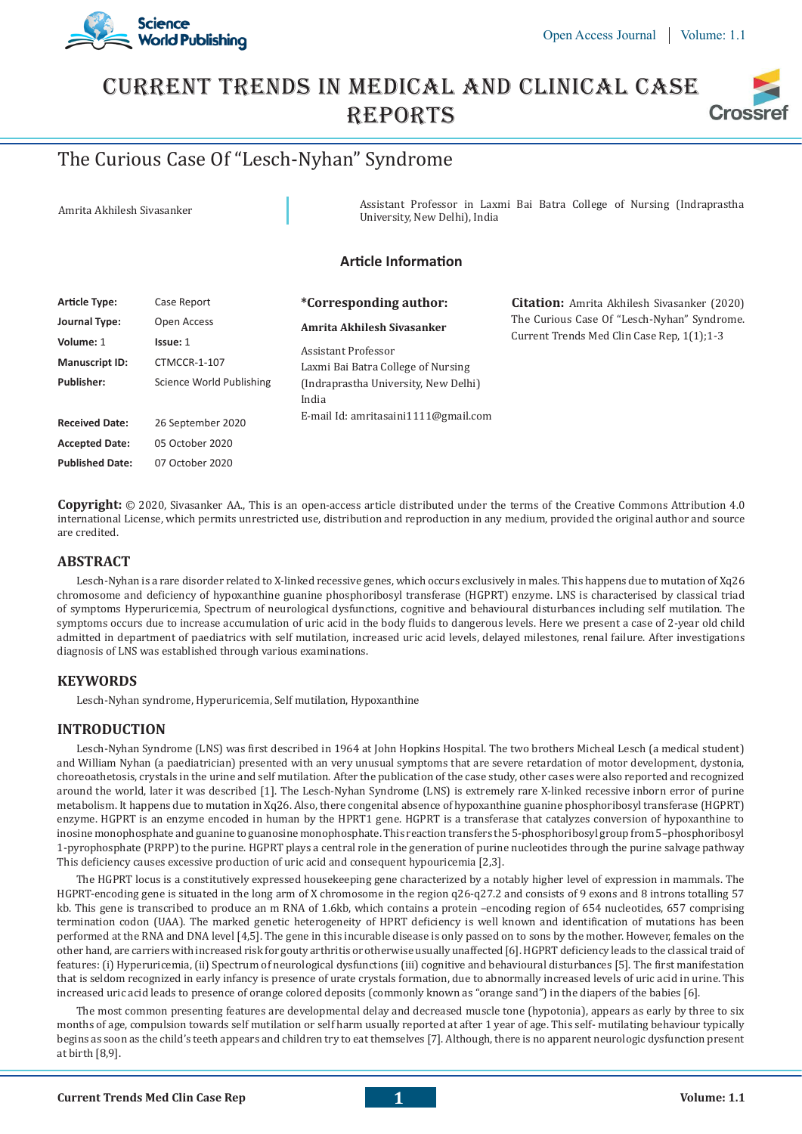

# Current Trends In Medical And Clinical Case **REPORTS Crossi**

# The Curious Case Of "Lesch-Nyhan" Syndrome

Amrita Akhilesh Sivasanker **Assistant Professor in Laxmi Bai Batra College of Nursing (Indraprastha** University, New Delhi), India

# **Article Information**

| <b>Article Type:</b>   | Case Report              | <i>*Corresponding author:</i>                 | <b>Citation:</b> Amrita Akhilesh Sivasanker (2020) |  |
|------------------------|--------------------------|-----------------------------------------------|----------------------------------------------------|--|
| Journal Type:          | Open Access              | Amrita Akhilesh Siyasanker                    | The Curious Case Of "Lesch-Nyhan" Syndrome.        |  |
| Volume: 1              | Issue: 1                 | Assistant Professor                           | Current Trends Med Clin Case Rep. 1(1):1-3         |  |
| <b>Manuscript ID:</b>  | CTMCCR-1-107             | Laxmi Bai Batra College of Nursing            |                                                    |  |
| <b>Publisher:</b>      | Science World Publishing | (Indraprastha University, New Delhi)<br>India |                                                    |  |
| <b>Received Date:</b>  | 26 September 2020        | E-mail Id: amritasaini1111@gmail.com          |                                                    |  |
| <b>Accepted Date:</b>  | 05 October 2020          |                                               |                                                    |  |
| <b>Published Date:</b> | 07 October 2020          |                                               |                                                    |  |

**Copyright:** © 2020, Sivasanker AA., This is an open-access article distributed under the terms of the Creative Commons Attribution 4.0 international License, which permits unrestricted use, distribution and reproduction in any medium, provided the original author and source are credited.

# **ABSTRACT**

Lesch-Nyhan is a rare disorder related to X-linked recessive genes, which occurs exclusively in males. This happens due to mutation of Xq26 chromosome and deficiency of hypoxanthine guanine phosphoribosyl transferase (HGPRT) enzyme. LNS is characterised by classical triad of symptoms Hyperuricemia, Spectrum of neurological dysfunctions, cognitive and behavioural disturbances including self mutilation. The symptoms occurs due to increase accumulation of uric acid in the body fluids to dangerous levels. Here we present a case of 2-year old child admitted in department of paediatrics with self mutilation, increased uric acid levels, delayed milestones, renal failure. After investigations diagnosis of LNS was established through various examinations.

# **KEYWORDS**

Lesch-Nyhan syndrome, Hyperuricemia, Self mutilation, Hypoxanthine

# **INTRODUCTION**

Lesch-Nyhan Syndrome (LNS) was first described in 1964 at John Hopkins Hospital. The two brothers Micheal Lesch (a medical student) and William Nyhan (a paediatrician) presented with an very unusual symptoms that are severe retardation of motor development, dystonia, choreoathetosis, crystals in the urine and self mutilation. After the publication of the case study, other cases were also reported and recognized around the world, later it was described [1]. The Lesch-Nyhan Syndrome (LNS) is extremely rare X-linked recessive inborn error of purine metabolism. It happens due to mutation in Xq26. Also, there congenital absence of hypoxanthine guanine phosphoribosyl transferase (HGPRT) enzyme. HGPRT is an enzyme encoded in human by the HPRT1 gene. HGPRT is a transferase that catalyzes conversion of hypoxanthine to inosine monophosphate and guanine to guanosine monophosphate. This reaction transfers the 5-phosphoribosyl group from 5–phosphoribosyl 1-pyrophosphate (PRPP) to the purine. HGPRT plays a central role in the generation of purine nucleotides through the purine salvage pathway This deficiency causes excessive production of uric acid and consequent hypouricemia [2,3].

The HGPRT locus is a constitutively expressed housekeeping gene characterized by a notably higher level of expression in mammals. The HGPRT-encoding gene is situated in the long arm of X chromosome in the region q26-q27.2 and consists of 9 exons and 8 introns totalling 57 kb. This gene is transcribed to produce an m RNA of 1.6kb, which contains a protein –encoding region of 654 nucleotides, 657 comprising termination codon (UAA). The marked genetic heterogeneity of HPRT deficiency is well known and identification of mutations has been performed at the RNA and DNA level [4,5]. The gene in this incurable disease is only passed on to sons by the mother. However, females on the other hand, are carriers with increased risk for gouty arthritis or otherwise usually unaffected [6]. HGPRT deficiency leads to the classical traid of features: (i) Hyperuricemia, (ii) Spectrum of neurological dysfunctions (iii) cognitive and behavioural disturbances [5]. The first manifestation that is seldom recognized in early infancy is presence of urate crystals formation, due to abnormally increased levels of uric acid in urine. This increased uric acid leads to presence of orange colored deposits (commonly known as "orange sand") in the diapers of the babies [6].

The most common presenting features are developmental delay and decreased muscle tone (hypotonia), appears as early by three to six months of age, compulsion towards self mutilation or self harm usually reported at after 1 year of age. This self- mutilating behaviour typically begins as soon as the child's teeth appears and children try to eat themselves [7]. Although, there is no apparent neurologic dysfunction present at birth [8,9].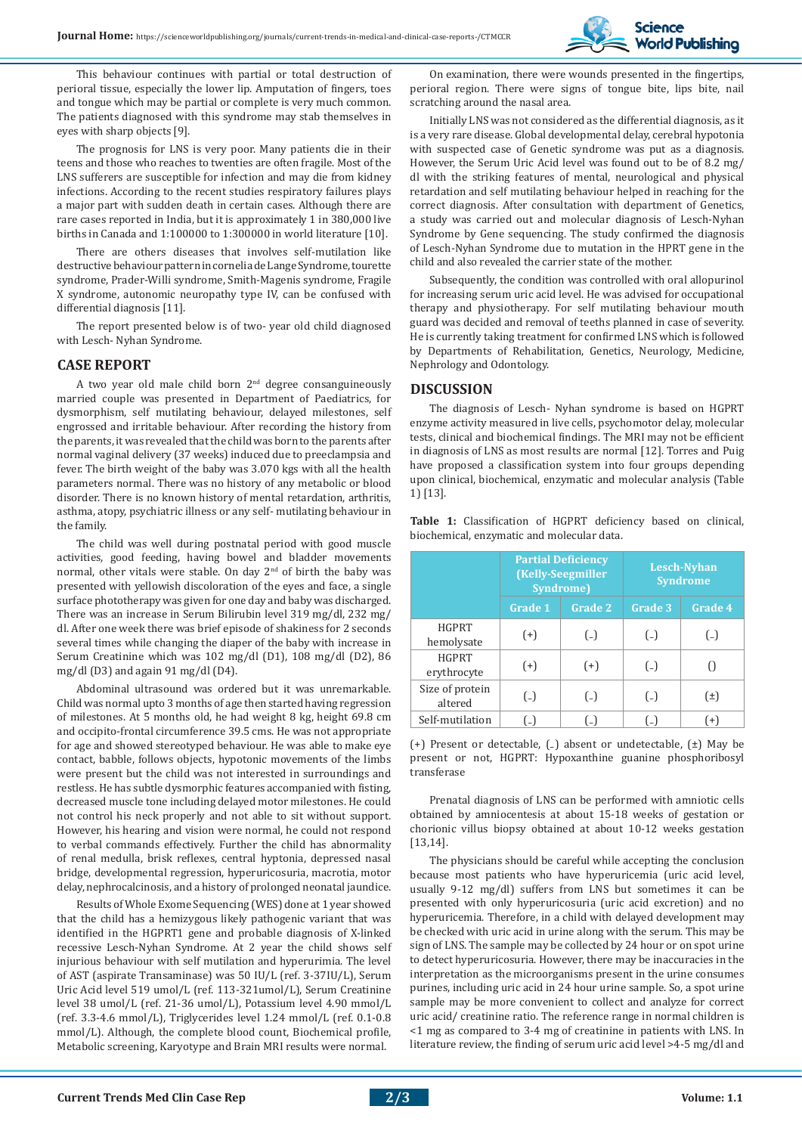**Science World Publishing** 

This behaviour continues with partial or total destruction of perioral tissue, especially the lower lip. Amputation of fingers, toes and tongue which may be partial or complete is very much common. The patients diagnosed with this syndrome may stab themselves in eyes with sharp objects [9].

The prognosis for LNS is very poor. Many patients die in their teens and those who reaches to twenties are often fragile. Most of the LNS sufferers are susceptible for infection and may die from kidney infections. According to the recent studies respiratory failures plays a major part with sudden death in certain cases. Although there are rare cases reported in India, but it is approximately 1 in 380,000 live births in Canada and 1:100000 to 1:300000 in world literature [10].

There are others diseases that involves self-mutilation like destructive behaviour pattern in cornelia de Lange Syndrome, tourette syndrome, Prader-Willi syndrome, Smith-Magenis syndrome, Fragile X syndrome, autonomic neuropathy type IV, can be confused with differential diagnosis [11].

The report presented below is of two- year old child diagnosed with Lesch- Nyhan Syndrome.

#### **CASE REPORT**

A two year old male child born  $2<sup>nd</sup>$  degree consanguineously married couple was presented in Department of Paediatrics, for dysmorphism, self mutilating behaviour, delayed milestones, self engrossed and irritable behaviour. After recording the history from the parents, it was revealed that the child was born to the parents after normal vaginal delivery (37 weeks) induced due to preeclampsia and fever. The birth weight of the baby was 3.070 kgs with all the health parameters normal. There was no history of any metabolic or blood disorder. There is no known history of mental retardation, arthritis, asthma, atopy, psychiatric illness or any self- mutilating behaviour in the family.

The child was well during postnatal period with good muscle activities, good feeding, having bowel and bladder movements normal, other vitals were stable. On day 2<sup>nd</sup> of birth the baby was presented with yellowish discoloration of the eyes and face, a single surface phototherapy was given for one day and baby was discharged. There was an increase in Serum Bilirubin level 319 mg/dl, 232 mg/ dl. After one week there was brief episode of shakiness for 2 seconds several times while changing the diaper of the baby with increase in Serum Creatinine which was 102 mg/dl (D1), 108 mg/dl (D2), 86 mg/dl (D3) and again 91 mg/dl (D4).

Abdominal ultrasound was ordered but it was unremarkable. Child was normal upto 3 months of age then started having regression of milestones. At 5 months old, he had weight 8 kg, height 69.8 cm and occipito-frontal circumference 39.5 cms. He was not appropriate for age and showed stereotyped behaviour. He was able to make eye contact, babble, follows objects, hypotonic movements of the limbs were present but the child was not interested in surroundings and restless. He has subtle dysmorphic features accompanied with fisting, decreased muscle tone including delayed motor milestones. He could not control his neck properly and not able to sit without support. However, his hearing and vision were normal, he could not respond to verbal commands effectively. Further the child has abnormality of renal medulla, brisk reflexes, central hyptonia, depressed nasal bridge, developmental regression, hyperuricosuria, macrotia, motor delay, nephrocalcinosis, and a history of prolonged neonatal jaundice.

Results of Whole Exome Sequencing (WES) done at 1 year showed that the child has a hemizygous likely pathogenic variant that was identified in the HGPRT1 gene and probable diagnosis of X-linked recessive Lesch-Nyhan Syndrome. At 2 year the child shows self injurious behaviour with self mutilation and hyperurimia. The level of AST (aspirate Transaminase) was 50 IU/L (ref. 3-37IU/L), Serum Uric Acid level 519 umol/L (ref. 113-321umol/L), Serum Creatinine level 38 umol/L (ref. 21-36 umol/L), Potassium level 4.90 mmol/L (ref. 3.3-4.6 mmol/L), Triglycerides level 1.24 mmol/L (ref. 0.1-0.8 mmol/L). Although, the complete blood count, Biochemical profile, Metabolic screening, Karyotype and Brain MRI results were normal.

On examination, there were wounds presented in the fingertips, perioral region. There were signs of tongue bite, lips bite, nail scratching around the nasal area.

Initially LNS was not considered as the differential diagnosis, as it is a very rare disease. Global developmental delay, cerebral hypotonia with suspected case of Genetic syndrome was put as a diagnosis. However, the Serum Uric Acid level was found out to be of 8.2 mg/ dl with the striking features of mental, neurological and physical retardation and self mutilating behaviour helped in reaching for the correct diagnosis. After consultation with department of Genetics, a study was carried out and molecular diagnosis of Lesch-Nyhan Syndrome by Gene sequencing. The study confirmed the diagnosis of Lesch-Nyhan Syndrome due to mutation in the HPRT gene in the child and also revealed the carrier state of the mother.

Subsequently, the condition was controlled with oral allopurinol for increasing serum uric acid level. He was advised for occupational therapy and physiotherapy. For self mutilating behaviour mouth guard was decided and removal of teeths planned in case of severity. He is currently taking treatment for confirmed LNS which is followed by Departments of Rehabilitation, Genetics, Neurology, Medicine, Nephrology and Odontology.

## **DISCUSSION**

The diagnosis of Lesch- Nyhan syndrome is based on HGPRT enzyme activity measured in live cells, psychomotor delay, molecular tests, clinical and biochemical findings. The MRI may not be efficient in diagnosis of LNS as most results are normal [12]. Torres and Puig have proposed a classification system into four groups depending upon clinical, biochemical, enzymatic and molecular analysis (Table 1) [13].

**Table 1:** Classification of HGPRT deficiency based on clinical, biochemical, enzymatic and molecular data.

|                             | <b>Partial Deficiency</b><br>(Kelly-Seegmiller<br><b>Syndrome</b> ) |                                                 | <b>Lesch-Nyhan</b><br><b>Syndrome</b> |         |
|-----------------------------|---------------------------------------------------------------------|-------------------------------------------------|---------------------------------------|---------|
|                             | <b>Grade 1</b>                                                      | <b>Grade 2</b>                                  | Grade 3                               | Grade 4 |
| <b>HGPRT</b><br>hemolysate  | $(+)$                                                               | $\left( \begin{array}{c} - \end{array} \right)$ | $(-)$                                 | $(\_$   |
| <b>HGPRT</b><br>erythrocyte | $(+)$                                                               | $(+)$                                           | $(\_$                                 |         |
| Size of protein<br>altered  | (                                                                   | $\left( \begin{array}{c} - \end{array} \right)$ | $(-)$                                 | $(\pm)$ |
| Self-mutilation             | $(-)$                                                               | $(\_$                                           | $(\_$                                 | $(+)$   |

(+) Present or detectable, (₋) absent or undetectable, (±) May be present or not, HGPRT: Hypoxanthine guanine phosphoribosyl transferase

Prenatal diagnosis of LNS can be performed with amniotic cells obtained by amniocentesis at about 15-18 weeks of gestation or chorionic villus biopsy obtained at about 10-12 weeks gestation [13,14].

The physicians should be careful while accepting the conclusion because most patients who have hyperuricemia (uric acid level, usually 9-12 mg/dl) suffers from LNS but sometimes it can be presented with only hyperuricosuria (uric acid excretion) and no hyperuricemia. Therefore, in a child with delayed development may be checked with uric acid in urine along with the serum. This may be sign of LNS. The sample may be collected by 24 hour or on spot urine to detect hyperuricosuria. However, there may be inaccuracies in the interpretation as the microorganisms present in the urine consumes purines, including uric acid in 24 hour urine sample. So, a spot urine sample may be more convenient to collect and analyze for correct uric acid/ creatinine ratio. The reference range in normal children is <1 mg as compared to 3-4 mg of creatinine in patients with LNS. In literature review, the finding of serum uric acid level >4-5 mg/dl and